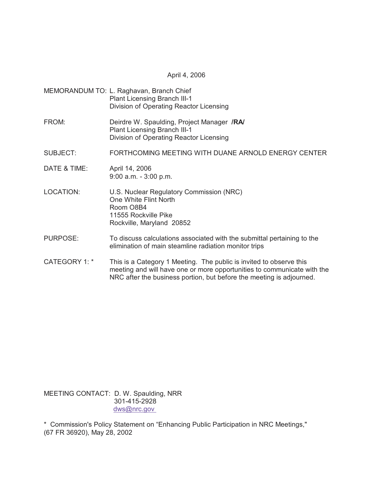April 4, 2006

- MEMORANDUM TO: L. Raghavan, Branch Chief Plant Licensing Branch III-1 Division of Operating Reactor Licensing
- FROM: Deirdre W. Spaulding, Project Manager **/RA/** Plant Licensing Branch III-1 Division of Operating Reactor Licensing
- SUBJECT: FORTHCOMING MEETING WITH DUANE ARNOLD ENERGY CENTER
- DATE & TIME: April 14, 2006 9:00 a.m. - 3:00 p.m.
- LOCATION: U.S. Nuclear Regulatory Commission (NRC) One White Flint North Room O8B4 11555 Rockville Pike Rockville, Maryland 20852
- PURPOSE: To discuss calculations associated with the submittal pertaining to the elimination of main steamline radiation monitor trips
- CATEGORY 1: \* This is a Category 1 Meeting. The public is invited to observe this meeting and will have one or more opportunities to communicate with the NRC after the business portion, but before the meeting is adjourned.

MEETING CONTACT: D. W. Spaulding, NRR 301-415-2928 dws@nrc.gov

\* Commission's Policy Statement on "Enhancing Public Participation in NRC Meetings," (67 FR 36920), May 28, 2002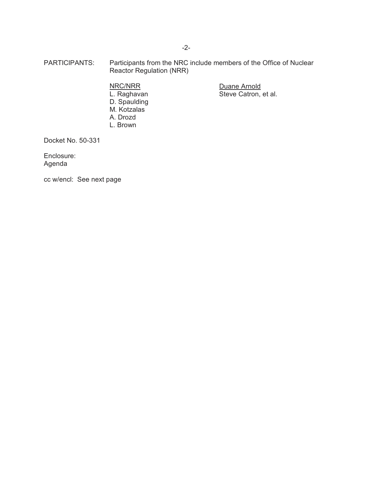PARTICIPANTS: Participants from the NRC include members of the Office of Nuclear Reactor Regulation (NRR)

> D. Spaulding M. Kotzalas A. Drozd L. Brown

NRC/NRR Duane Arnold Steve Catron, et al.

Docket No. 50-331

Enclosure: Agenda

cc w/encl: See next page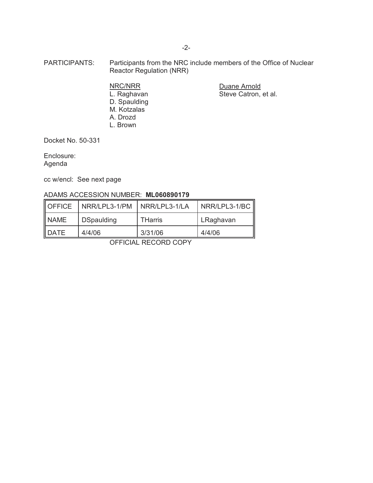- PARTICIPANTS: Participants from the NRC include members of the Office of Nuclear Reactor Regulation (NRR)
	- D. Spaulding M. Kotzalas A. Drozd L. Brown

NRC/NRR Duane Arnold Steve Catron, et al.

Docket No. 50-331

Enclosure: Agenda

cc w/encl: See next page

## ADAMS ACCESSION NUMBER: **ML060890179**

| OFFICE      | NRR/LPL3-1/PM     | NRR/LPL3-1/LA  | $NRR/LPL3-1/BC$ |
|-------------|-------------------|----------------|-----------------|
| <b>NAME</b> | <b>DSpaulding</b> | <b>THarris</b> | LRaghavan       |
| DATE        | 4/4/06            | 3/31/06        | 4/4/06          |

OFFICIAL RECORD COPY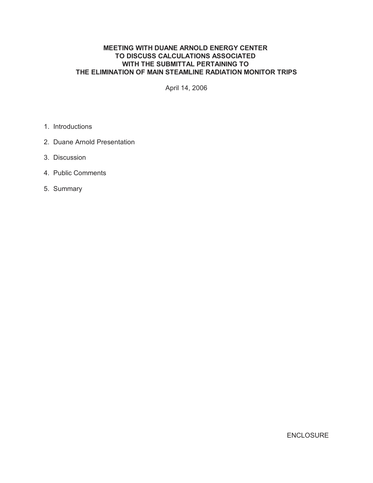## **MEETING WITH DUANE ARNOLD ENERGY CENTER TO DISCUSS CALCULATIONS ASSOCIATED WITH THE SUBMITTAL PERTAINING TO THE ELIMINATION OF MAIN STEAMLINE RADIATION MONITOR TRIPS**

April 14, 2006

- 1. Introductions
- 2. Duane Arnold Presentation
- 3. Discussion
- 4. Public Comments
- 5. Summary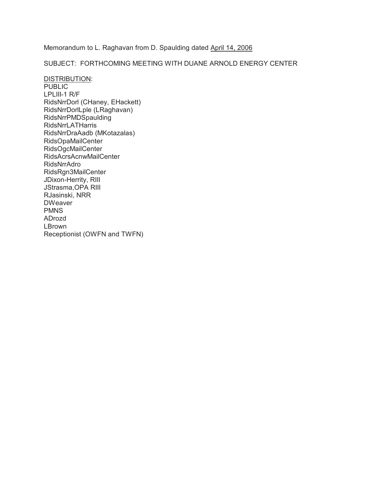Memorandum to L. Raghavan from D. Spaulding dated April 14, 2006

SUBJECT: FORTHCOMING MEETING WITH DUANE ARNOLD ENERGY CENTER

DISTRIBUTION: PUBLIC LPLIII-1 R/F RidsNrrDorl (CHaney, EHackett) RidsNrrDorlLple (LRaghavan) RidsNrrPMDSpaulding RidsNrrLATHarris RidsNrrDraAadb (MKotazalas) RidsOpaMailCenter RidsOgcMailCenter RidsAcrsAcnwMailCenter RidsNrrAdro RidsRgn3MailCenter JDixon-Herrity, RIII JStrasma,OPA RIII RJasinski, NRR DWeaver PMNS ADrozd LBrown Receptionist (OWFN and TWFN)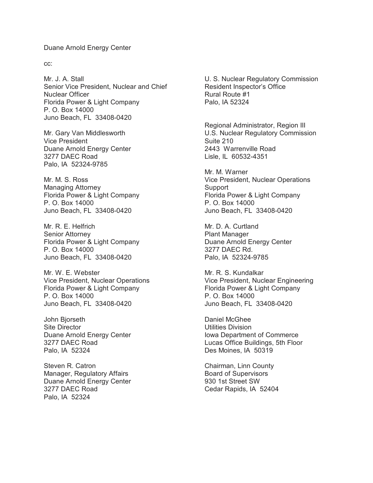## Duane Arnold Energy Center

cc:

Mr. J. A. Stall Senior Vice President, Nuclear and Chief Nuclear Officer Florida Power & Light Company P. O. Box 14000 Juno Beach, FL 33408-0420

Mr. Gary Van Middlesworth Vice President Duane Arnold Energy Center 3277 DAEC Road Palo, IA 52324-9785

Mr. M. S. Ross Managing Attorney Florida Power & Light Company P. O. Box 14000 Juno Beach, FL 33408-0420

Mr. R. E. Helfrich Senior Attorney Florida Power & Light Company P. O. Box 14000 Juno Beach, FL 33408-0420

Mr. W. E. Webster Vice President, Nuclear Operations Florida Power & Light Company P. O. Box 14000 Juno Beach, FL 33408-0420

John Bjorseth Site Director Duane Arnold Energy Center 3277 DAEC Road Palo, IA 52324

Steven R. Catron Manager, Regulatory Affairs Duane Arnold Energy Center 3277 DAEC Road Palo, IA 52324

U. S. Nuclear Regulatory Commission Resident Inspector's Office Rural Route #1 Palo, IA 52324

Regional Administrator, Region III U.S. Nuclear Regulatory Commission Suite 210 2443 Warrenville Road Lisle, IL 60532-4351

Mr. M. Warner Vice President, Nuclear Operations Support Florida Power & Light Company P. O. Box 14000 Juno Beach, FL 33408-0420

Mr. D. A. Curtland Plant Manager Duane Arnold Energy Center 3277 DAEC Rd. Palo, IA 52324-9785

Mr. R. S. Kundalkar Vice President, Nuclear Engineering Florida Power & Light Company P. O. Box 14000 Juno Beach, FL 33408-0420

Daniel McGhee Utilities Division Iowa Department of Commerce Lucas Office Buildings, 5th Floor Des Moines, IA 50319

Chairman, Linn County Board of Supervisors 930 1st Street SW Cedar Rapids, IA 52404